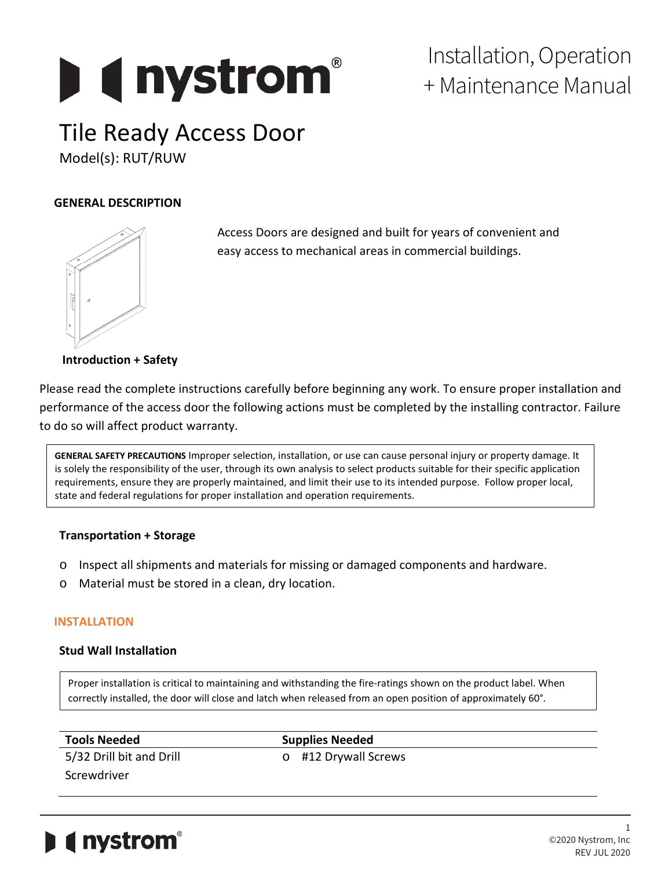# **Designation**

### Installation, Operation + Maintenance Manual

## Tile Ready Access Door

Model(s): RUT/RUW

#### **GENERAL DESCRIPTION**



Access Doors are designed and built for years of convenient and easy access to mechanical areas in commercial buildings.

**Introduction + Safety**

Please read the complete instructions carefully before beginning any work. To ensure proper installation and performance of the access door the following actions must be completed by the installing contractor. Failure to do so will affect product warranty.

**GENERAL SAFETY PRECAUTIONS** Improper selection, installation, or use can cause personal injury or property damage. It is solely the responsibility of the user, through its own analysis to select products suitable for their specific application requirements, ensure they are properly maintained, and limit their use to its intended purpose. Follow proper local, state and federal regulations for proper installation and operation requirements.

#### **Transportation + Storage**

- o Inspect all shipments and materials for missing or damaged components and hardware.
- o Material must be stored in a clean, dry location.

#### **INSTALLATION**

#### **Stud Wall Installation**

Proper installation is critical to maintaining and withstanding the fire-ratings shown on the product label. When correctly installed, the door will close and latch when released from an open position of approximately 60°.

| <b>Tools Needed</b>      | <b>Supplies Needed</b> |  |
|--------------------------|------------------------|--|
| 5/32 Drill bit and Drill | o #12 Drywall Screws   |  |
| Screwdriver              |                        |  |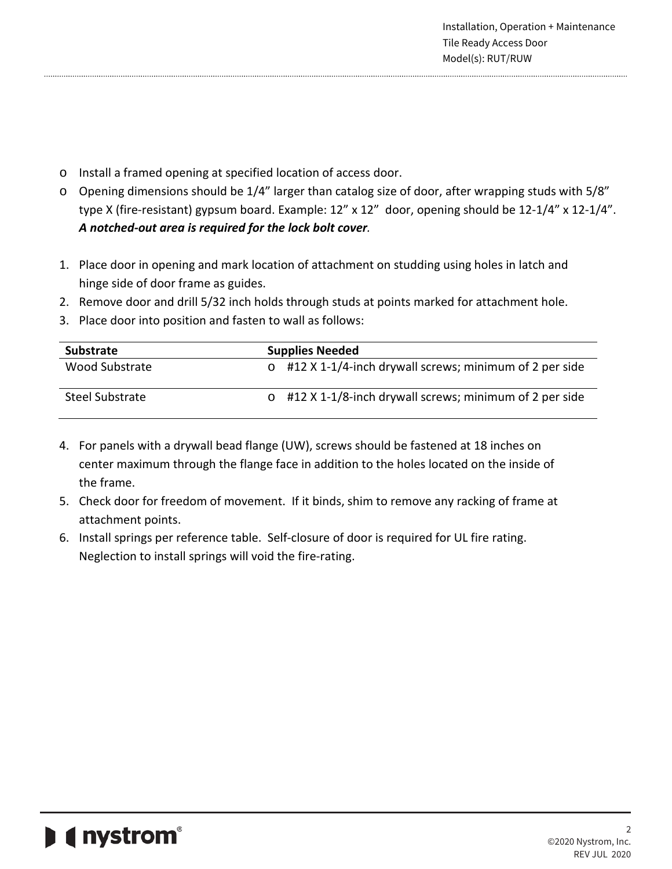- o Install a framed opening at specified location of access door.
- o Opening dimensions should be 1/4" larger than catalog size of door, after wrapping studs with 5/8" type X (fire-resistant) gypsum board. Example: 12" x 12" door, opening should be 12-1/4" x 12-1/4". *A notched-out area is required for the lock bolt cover.*
- 1. Place door in opening and mark location of attachment on studding using holes in latch and hinge side of door frame as guides.
- 2. Remove door and drill 5/32 inch holds through studs at points marked for attachment hole.
- 3. Place door into position and fasten to wall as follows:

| <b>Substrate</b> | <b>Supplies Needed</b>                                         |
|------------------|----------------------------------------------------------------|
| Wood Substrate   | $\circ$ #12 X 1-1/4-inch drywall screws; minimum of 2 per side |
| Steel Substrate  | $\circ$ #12 X 1-1/8-inch drywall screws; minimum of 2 per side |

- 4. For panels with a drywall bead flange (UW), screws should be fastened at 18 inches on center maximum through the flange face in addition to the holes located on the inside of the frame.
- 5. Check door for freedom of movement. If it binds, shim to remove any racking of frame at attachment points.
- 6. Install springs per reference table. Self-closure of door is required for UL fire rating. Neglection to install springs will void the fire-rating.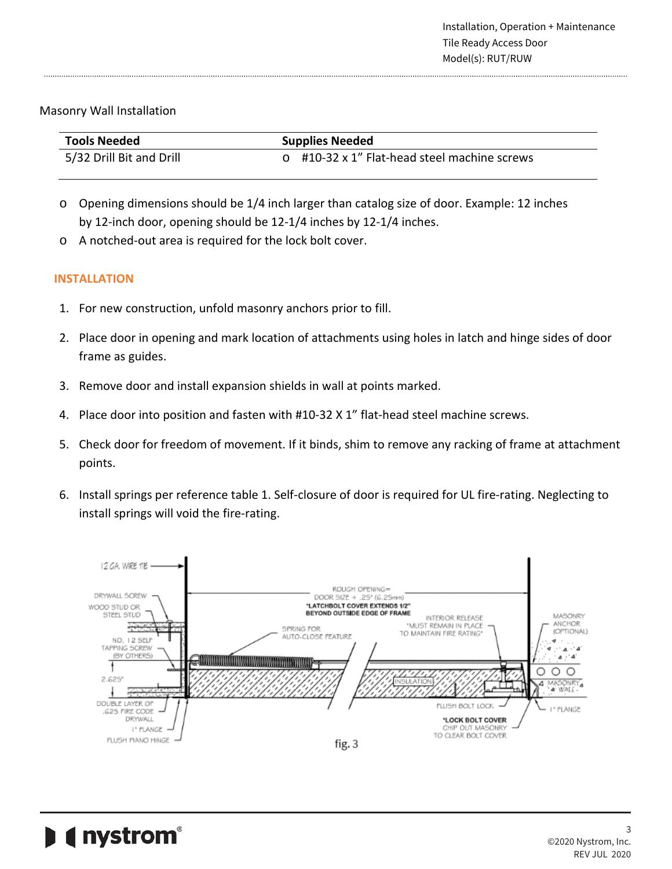#### Masonry Wall Installation

| <b>Tools Needed</b>      | <b>Supplies Needed</b>                       |  |
|--------------------------|----------------------------------------------|--|
| 5/32 Drill Bit and Drill | o #10-32 x 1" Flat-head steel machine screws |  |

- o Opening dimensions should be 1/4 inch larger than catalog size of door. Example: 12 inches by 12-inch door, opening should be 12-1/4 inches by 12-1/4 inches.
- o A notched-out area is required for the lock bolt cover.

#### **INSTALLATION**

- 1. For new construction, unfold masonry anchors prior to fill.
- 2. Place door in opening and mark location of attachments using holes in latch and hinge sides of door frame as guides.
- 3. Remove door and install expansion shields in wall at points marked.
- 4. Place door into position and fasten with #10-32 X 1" flat-head steel machine screws.
- 5. Check door for freedom of movement. If it binds, shim to remove any racking of frame at attachment points.
- 6. Install springs per reference table 1. Self-closure of door is required for UL fire-rating. Neglecting to install springs will void the fire-rating.